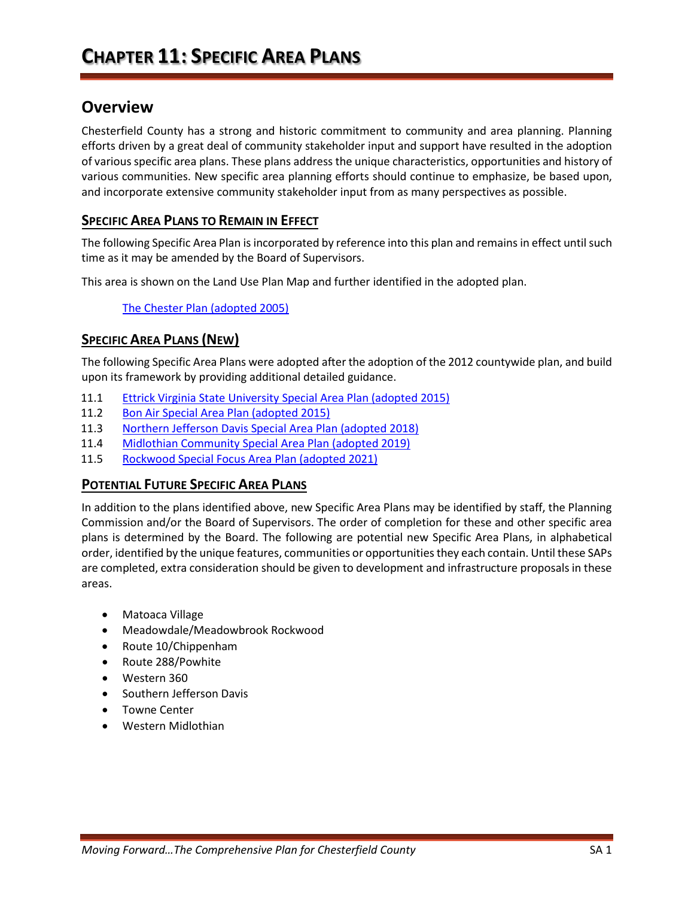# **Overview**

Chesterfield County has a strong and historic commitment to community and area planning. Planning efforts driven by a great deal of community stakeholder input and support have resulted in the adoption of various specific area plans. These plans address the unique characteristics, opportunities and history of various communities. New specific area planning efforts should continue to emphasize, be based upon, and incorporate extensive community stakeholder input from as many perspectives as possible.

### **SPECIFIC AREA PLANS TO REMAIN IN EFFECT**

The following Specific Area Plan is incorporated by reference into this plan and remains in effect until such time as it may be amended by the Board of Supervisors.

This area is shown on the Land Use Plan Map and further identified in the adopted plan.

[The Chester Plan \(adopted 2005\)](https://www.chesterfield.gov/DocumentCenter/View/2109/Chester-Plan-PDF)

## **SPECIFIC AREA PLANS (NEW)**

The following Specific Area Plans were adopted after the adoption of the 2012 countywide plan, and build upon its framework by providing additional detailed guidance.

- 11.1 [Ettrick Virginia State University Special Area Plan \(adopted 2015\)](https://www.chesterfield.gov/DocumentCenter/View/2099/Ettrick-VSU-Special-Area-Plan-PDF)
- 11.2 [Bon Air Special Area Plan \(adopted 2015\)](https://www.chesterfield.gov/DocumentCenter/View/2097/Bon-Air-Special-Area-Plan-PDF)
- 11.3 [Northern Jefferson Davis Special Area Plan \(adopted 2018\)](https://www.chesterfield.gov/874/Comprehensive-Plan)
- 11.4 [Midlothian Community Special Area Plan \(adopted 2019\)](https://www.chesterfield.gov/874/Comprehensive-Plan)
- 11.5 Rockwood Special Focus Area Plan (adopted 2021)

### **POTENTIAL FUTURE SPECIFIC AREA PLANS**

In addition to the plans identified above, new Specific Area Plans may be identified by staff, the Planning Commission and/or the Board of Supervisors. The order of completion for these and other specific area plans is determined by the Board. The following are potential new Specific Area Plans, in alphabetical order, identified by the unique features, communities or opportunitiesthey each contain. Until these SAPs are completed, extra consideration should be given to development and infrastructure proposals in these areas.

- Matoaca Village
- Meadowdale/Meadowbrook Rockwood
- Route 10/Chippenham
- Route 288/Powhite
- Western 360
- Southern Jefferson Davis
- Towne Center
- Western Midlothian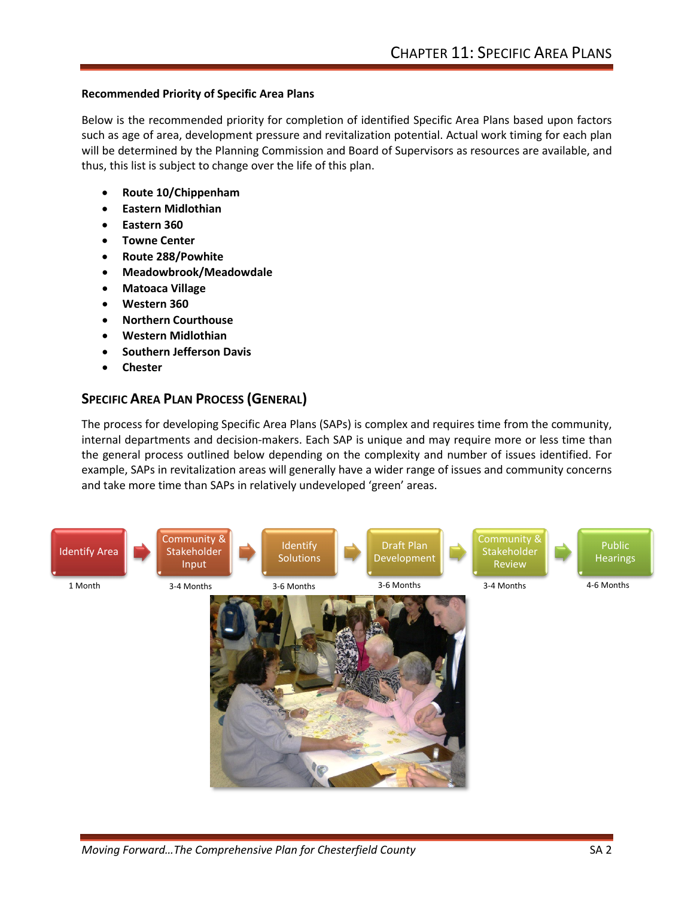#### **Recommended Priority of Specific Area Plans**

Below is the recommended priority for completion of identified Specific Area Plans based upon factors such as age of area, development pressure and revitalization potential. Actual work timing for each plan will be determined by the Planning Commission and Board of Supervisors as resources are available, and thus, this list is subject to change over the life of this plan.

- **Route 10/Chippenham**
- **Eastern Midlothian**
- **Eastern 360**
- **Towne Center**
- **Route 288/Powhite**
- **Meadowbrook/Meadowdale**
- **Matoaca Village**
- **Western 360**
- **Northern Courthouse**
- **Western Midlothian**
- **Southern Jefferson Davis**
- **Chester**

### **SPECIFIC AREA PLAN PROCESS (GENERAL)**

The process for developing Specific Area Plans (SAPs) is complex and requires time from the community, internal departments and decision-makers. Each SAP is unique and may require more or less time than the general process outlined below depending on the complexity and number of issues identified. For example, SAPs in revitalization areas will generally have a wider range of issues and community concerns and take more time than SAPs in relatively undeveloped 'green' areas.